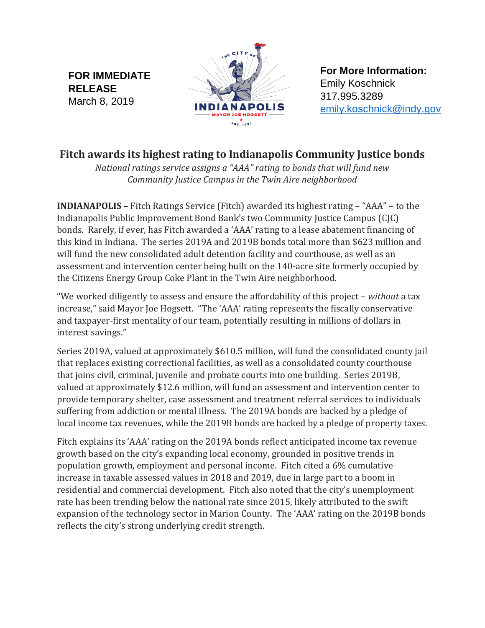**FOR IMMEDIATE RELEASE** March 8, 2019



**For More Information:** Emily Koschnick 317.995.3289 [emily.koschnick@indy.gov](mailto:emily.koschnick@indy.gov)

## **Fitch awards its highest rating to Indianapolis Community Justice bonds**

*National ratings service assigns a "AAA" rating to bonds that will fund new Community Justice Campus in the Twin Aire neighborhood*

**INDIANAPOLIS –** Fitch Ratings Service (Fitch) awarded its highest rating – "AAA" – to the Indianapolis Public Improvement Bond Bank's two Community Justice Campus (CJC) bonds. Rarely, if ever, has Fitch awarded a 'AAA' rating to a lease abatement financing of this kind in Indiana. The series 2019A and 2019B bonds total more than \$623 million and will fund the new consolidated adult detention facility and courthouse, as well as an assessment and intervention center being built on the 140-acre site formerly occupied by the Citizens Energy Group Coke Plant in the Twin Aire neighborhood.

"We worked diligently to assess and ensure the affordability of this project – *without* a tax increase," said Mayor Joe Hogsett. "The 'AAA' rating represents the fiscally conservative and taxpayer-first mentality of our team, potentially resulting in millions of dollars in interest savings."

Series 2019A, valued at approximately \$610.5 million, will fund the consolidated county jail that replaces existing correctional facilities, as well as a consolidated county courthouse that joins civil, criminal, juvenile and probate courts into one building. Series 2019B, valued at approximately \$12.6 million, will fund an assessment and intervention center to provide temporary shelter, case assessment and treatment referral services to individuals suffering from addiction or mental illness. The 2019A bonds are backed by a pledge of local income tax revenues, while the 2019B bonds are backed by a pledge of property taxes.

Fitch explains its 'AAA' rating on the 2019A bonds reflect anticipated income tax revenue growth based on the city's expanding local economy, grounded in positive trends in population growth, employment and personal income. Fitch cited a 6% cumulative increase in taxable assessed values in 2018 and 2019, due in large part to a boom in residential and commercial development. Fitch also noted that the city's unemployment rate has been trending below the national rate since 2015, likely attributed to the swift expansion of the technology sector in Marion County. The 'AAA' rating on the 2019B bonds reflects the city's strong underlying credit strength.